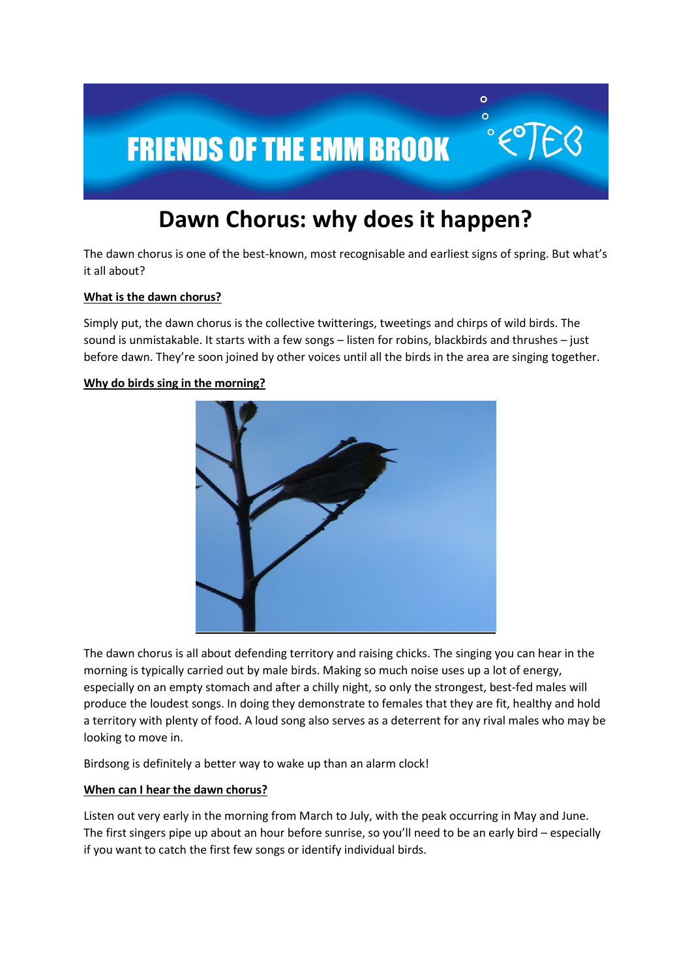

# **Dawn Chorus: why does it happen?**

The dawn chorus is one of the best-known, most recognisable and earliest signs of spring. But what's it all about?

# **What is the dawn chorus?**

Simply put, the dawn chorus is the collective twitterings, tweetings and chirps of wild birds. The sound is unmistakable. It starts with a few songs – listen for robins, blackbirds and thrushes – just before dawn. They're soon joined by other voices until all the birds in the area are singing together.

#### **Why do birds sing in the morning?**



The dawn chorus is all about defending territory and raising chicks. The singing you can hear in the morning is typically carried out by male birds. Making so much noise uses up a lot of energy, especially on an empty stomach and after a chilly night, so only the strongest, best-fed males will produce the loudest songs. In doing they demonstrate to females that they are fit, healthy and hold a territory with plenty of food. A loud song also serves as a deterrent for any rival males who may be looking to move in.

Birdsong is definitely a better way to wake up than an alarm clock!

#### **When can I hear the dawn chorus?**

Listen out very early in the morning from March to July, with the peak occurring in May and June. The first singers pipe up about an hour before sunrise, so you'll need to be an early bird – especially if you want to catch the first few songs or identify individual birds.